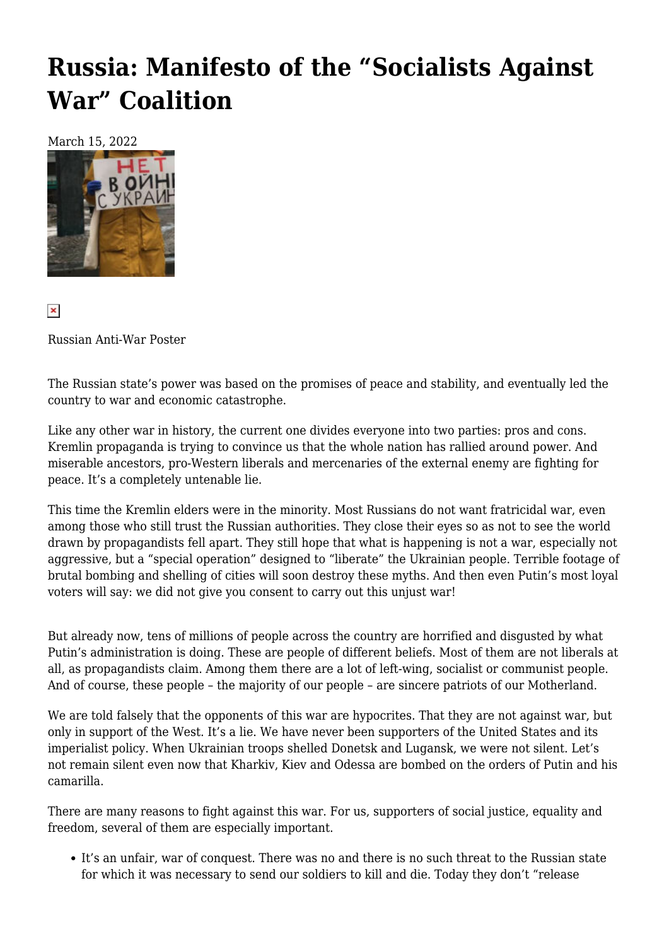## **[Russia: Manifesto of the "Socialists Against](https://newpol.org/russia-manifesto-of-the-socialists-against-war-coalition/) [War" Coalition](https://newpol.org/russia-manifesto-of-the-socialists-against-war-coalition/)**

March 15, 2022



 $\pmb{\times}$ 

Russian Anti-War Poster

The Russian state's power was based on the promises of peace and stability, and eventually led the country to war and economic catastrophe.

Like any other war in history, the current one divides everyone into two parties: pros and cons. Kremlin propaganda is trying to convince us that the whole nation has rallied around power. And miserable ancestors, pro-Western liberals and mercenaries of the external enemy are fighting for peace. It's a completely untenable lie.

This time the Kremlin elders were in the minority. Most Russians do not want fratricidal war, even among those who still trust the Russian authorities. They close their eyes so as not to see the world drawn by propagandists fell apart. They still hope that what is happening is not a war, especially not aggressive, but a "special operation" designed to "liberate" the Ukrainian people. Terrible footage of brutal bombing and shelling of cities will soon destroy these myths. And then even Putin's most loyal voters will say: we did not give you consent to carry out this unjust war!

But already now, tens of millions of people across the country are horrified and disgusted by what Putin's administration is doing. These are people of different beliefs. Most of them are not liberals at all, as propagandists claim. Among them there are a lot of left-wing, socialist or communist people. And of course, these people – the majority of our people – are sincere patriots of our Motherland.

We are told falsely that the opponents of this war are hypocrites. That they are not against war, but only in support of the West. It's a lie. We have never been supporters of the United States and its imperialist policy. When Ukrainian troops shelled Donetsk and Lugansk, we were not silent. Let's not remain silent even now that Kharkiv, Kiev and Odessa are bombed on the orders of Putin and his camarilla.

There are many reasons to fight against this war. For us, supporters of social justice, equality and freedom, several of them are especially important.

It's an unfair, war of conquest. There was no and there is no such threat to the Russian state for which it was necessary to send our soldiers to kill and die. Today they don't "release